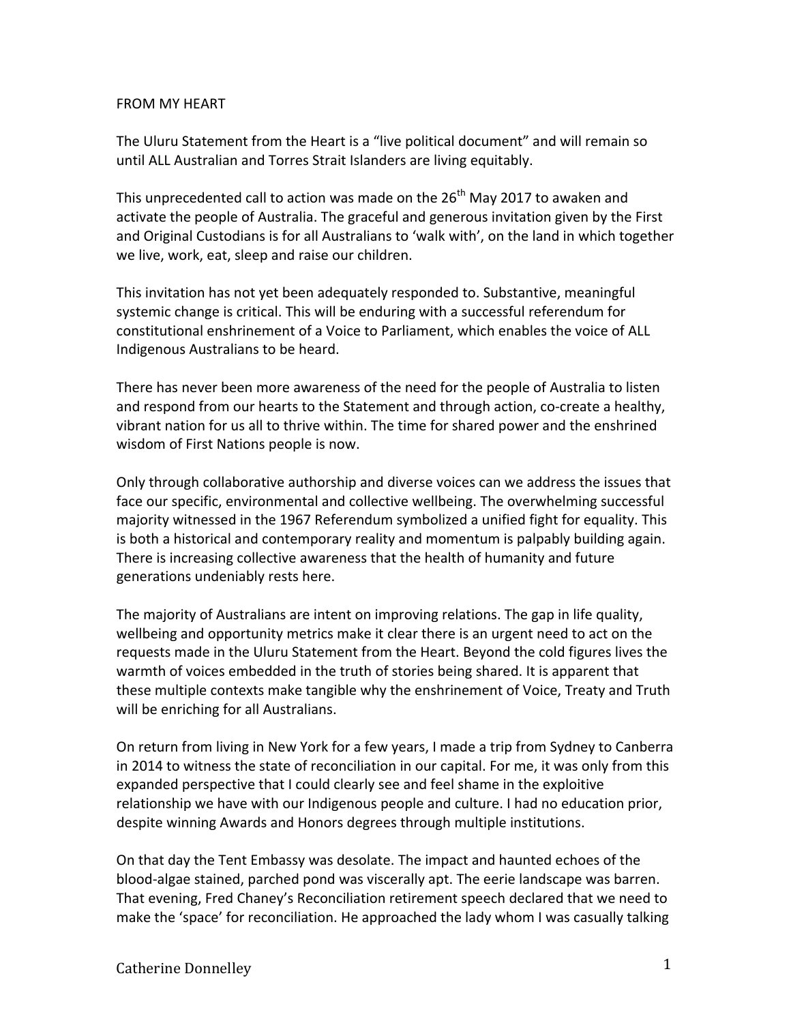## FROM MY HEART

The Uluru Statement from the Heart is a "live political document" and will remain so until ALL Australian and Torres Strait Islanders are living equitably.

This unprecedented call to action was made on the 26<sup>th</sup> May 2017 to awaken and activate the people of Australia. The graceful and generous invitation given by the First and Original Custodians is for all Australians to 'walk with', on the land in which together we live, work, eat, sleep and raise our children. 

This invitation has not yet been adequately responded to. Substantive, meaningful systemic change is critical. This will be enduring with a successful referendum for constitutional enshrinement of a Voice to Parliament, which enables the voice of ALL Indigenous Australians to be heard.

There has never been more awareness of the need for the people of Australia to listen and respond from our hearts to the Statement and through action, co-create a healthy, vibrant nation for us all to thrive within. The time for shared power and the enshrined wisdom of First Nations people is now.

Only through collaborative authorship and diverse voices can we address the issues that face our specific, environmental and collective wellbeing. The overwhelming successful majority witnessed in the 1967 Referendum symbolized a unified fight for equality. This is both a historical and contemporary reality and momentum is palpably building again. There is increasing collective awareness that the health of humanity and future generations undeniably rests here.

The majority of Australians are intent on improving relations. The gap in life quality, wellbeing and opportunity metrics make it clear there is an urgent need to act on the requests made in the Uluru Statement from the Heart. Beyond the cold figures lives the warmth of voices embedded in the truth of stories being shared. It is apparent that these multiple contexts make tangible why the enshrinement of Voice, Treaty and Truth will be enriching for all Australians.

On return from living in New York for a few years, I made a trip from Sydney to Canberra in 2014 to witness the state of reconciliation in our capital. For me, it was only from this expanded perspective that I could clearly see and feel shame in the exploitive relationship we have with our Indigenous people and culture. I had no education prior, despite winning Awards and Honors degrees through multiple institutions.

On that day the Tent Embassy was desolate. The impact and haunted echoes of the blood-algae stained, parched pond was viscerally apt. The eerie landscape was barren. That evening, Fred Chaney's Reconciliation retirement speech declared that we need to make the 'space' for reconciliation. He approached the lady whom I was casually talking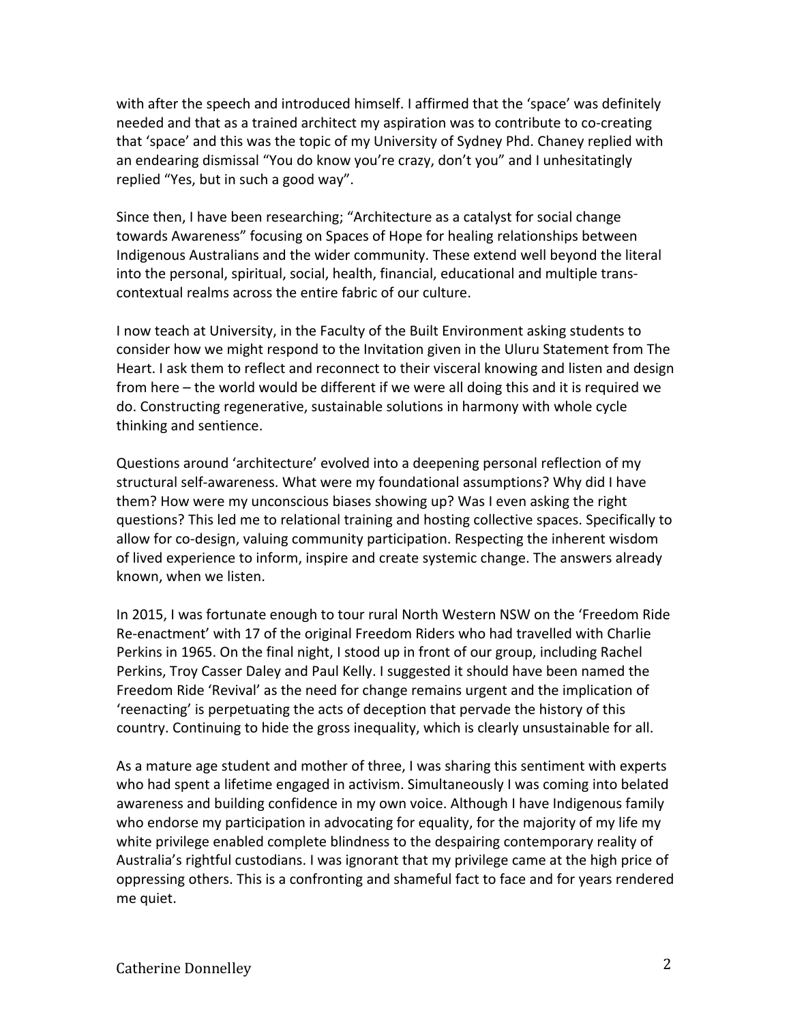with after the speech and introduced himself. I affirmed that the 'space' was definitely needed and that as a trained architect my aspiration was to contribute to co-creating that 'space' and this was the topic of my University of Sydney Phd. Chaney replied with an endearing dismissal "You do know you're crazy, don't you" and I unhesitatingly replied "Yes, but in such a good way".

Since then, I have been researching; "Architecture as a catalyst for social change towards Awareness" focusing on Spaces of Hope for healing relationships between Indigenous Australians and the wider community. These extend well beyond the literal into the personal, spiritual, social, health, financial, educational and multiple trans- contextual realms across the entire fabric of our culture. 

I now teach at University, in the Faculty of the Built Environment asking students to consider how we might respond to the Invitation given in the Uluru Statement from The Heart. I ask them to reflect and reconnect to their visceral knowing and listen and design from here – the world would be different if we were all doing this and it is required we do. Constructing regenerative, sustainable solutions in harmony with whole cycle thinking and sentience.

Questions around 'architecture' evolved into a deepening personal reflection of my structural self-awareness. What were my foundational assumptions? Why did I have them? How were my unconscious biases showing up? Was I even asking the right questions? This led me to relational training and hosting collective spaces. Specifically to allow for co-design, valuing community participation. Respecting the inherent wisdom of lived experience to inform, inspire and create systemic change. The answers already known, when we listen.

In 2015, I was fortunate enough to tour rural North Western NSW on the 'Freedom Ride Re-enactment' with 17 of the original Freedom Riders who had travelled with Charlie Perkins in 1965. On the final night, I stood up in front of our group, including Rachel Perkins, Troy Casser Daley and Paul Kelly. I suggested it should have been named the Freedom Ride 'Revival' as the need for change remains urgent and the implication of 'reenacting' is perpetuating the acts of deception that pervade the history of this country. Continuing to hide the gross inequality, which is clearly unsustainable for all.

As a mature age student and mother of three, I was sharing this sentiment with experts who had spent a lifetime engaged in activism. Simultaneously I was coming into belated awareness and building confidence in my own voice. Although I have Indigenous family who endorse my participation in advocating for equality, for the majority of my life my white privilege enabled complete blindness to the despairing contemporary reality of Australia's rightful custodians. I was ignorant that my privilege came at the high price of oppressing others. This is a confronting and shameful fact to face and for years rendered me quiet.